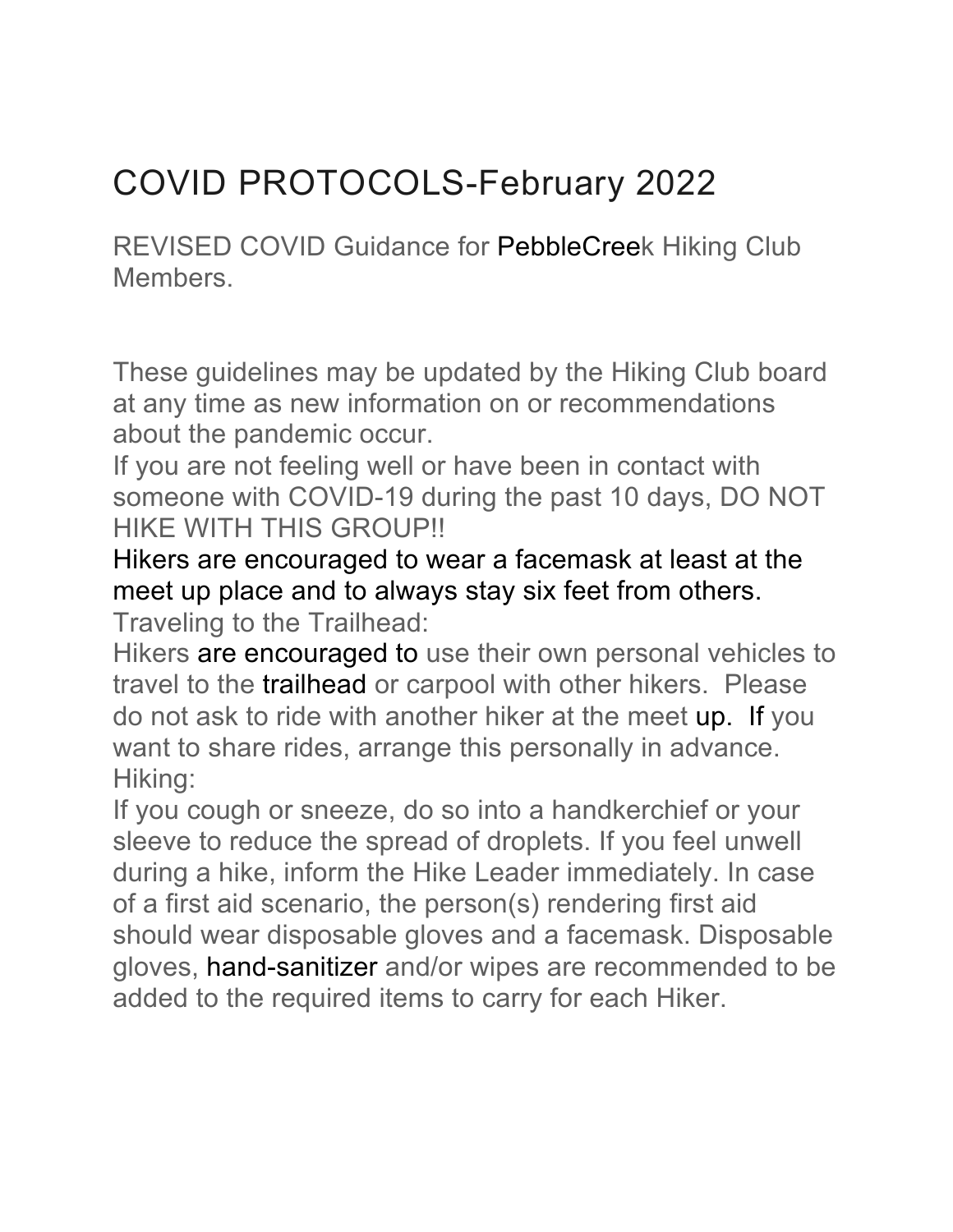## COVID PROTOCOLS-February 2022

REVISED COVID Guidance for PebbleCreek Hiking Club Members.

These guidelines may be updated by the Hiking Club board at any time as new information on or recommendations about the pandemic occur.

If you are not feeling well or have been in contact with someone with COVID-19 during the past 10 days, DO NOT HIKE WITH THIS GROUP!!

Hikers are encouraged to wear a facemask at least at the meet up place and to always stay six feet from others. Traveling to the Trailhead:

Hikers are encouraged to use their own personal vehicles to travel to the trailhead or carpool with other hikers. Please do not ask to ride with another hiker at the meet up. If you want to share rides, arrange this personally in advance. Hiking:

If you cough or sneeze, do so into a handkerchief or your sleeve to reduce the spread of droplets. If you feel unwell during a hike, inform the Hike Leader immediately. In case of a first aid scenario, the person(s) rendering first aid should wear disposable gloves and a facemask. Disposable gloves, hand-sanitizer and/or wipes are recommended to be added to the required items to carry for each Hiker.